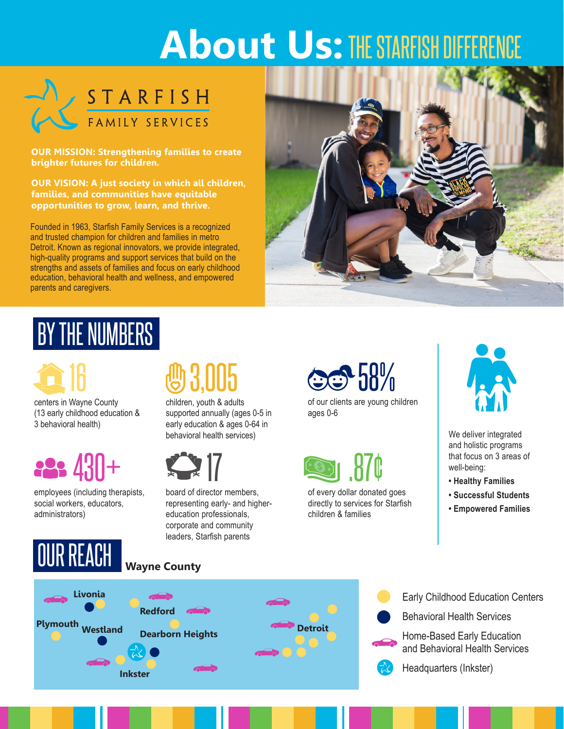# **About Us:** THE STARFISH DIFFERENCE



STARFISH

#### **OUR MISSION: Strengthening families to create brighter futures for children.**

**OUR VISION: A just society in which all children, families, and communities have equitable opportunities to grow, learn, and thrive.**

Founded in 1963, Starfish Family Services is a recognized and trusted champion for children and families in metro Detroit. Known as regional innovators, we provide integrated, high-quality programs and support services that build on the strengths and assets of families and focus on early childhood education, behavioral health and wellness, and empowered parents and caregivers.



## BY THE NUMBERS

16 8.005

centers in Wayne County (13 early childhood education & 3 behavioral health)



employees (including therapists, social workers, educators, administrators)

## board of director members,

representing early- and highereducation professionals, corporate and community leaders, Starfish parents

children, youth & adults supported annually (ages 0-5 in early education & ages 0-64 in behavioral health services)

58%

of our clients are young children ages 0-6



of every dollar donated goes directly to services for Starfish children & families



We deliver integrated and holistic programs that focus on 3 areas of well-being:

- **Healthy Families**
- **Successful Students**
- **Empowered Families**



### **Wayne County**



- Early Childhood Education Centers
- Behavioral Health Services

Home-Based Early Education and Behavioral Health Services



Headquarters (Inkster)